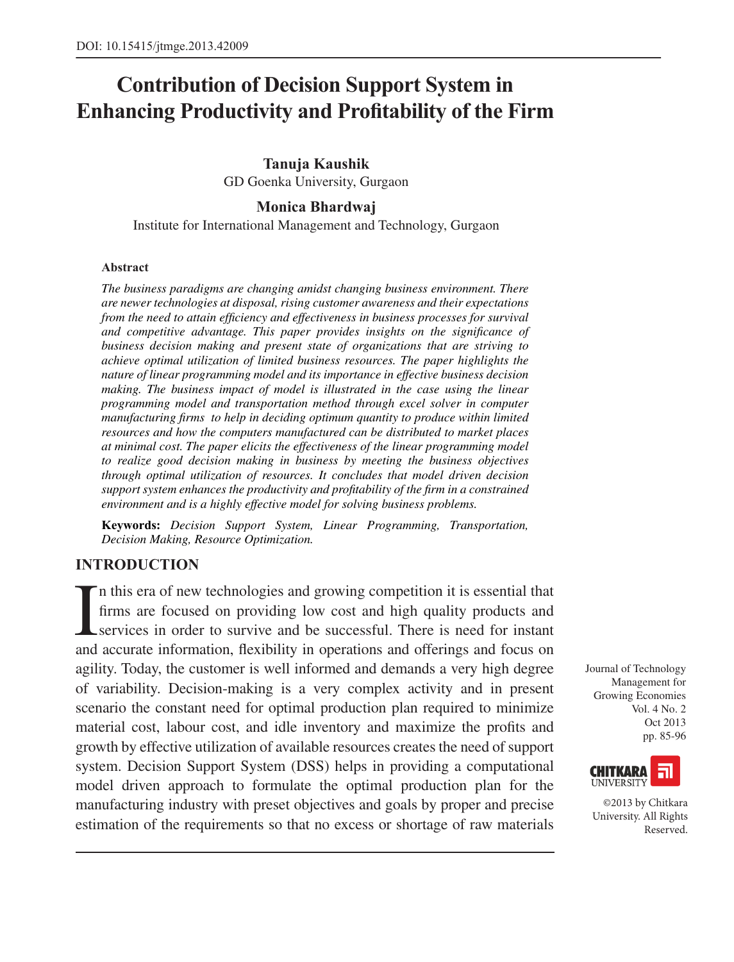# **Contribution of Decision Support System in Enhancing Productivity and Profitability of the Firm**

#### **Tanuja Kaushik**

GD Goenka University, Gurgaon

### **Monica Bhardwaj**

Institute for International Management and Technology, Gurgaon

#### **Abstract**

*The business paradigms are changing amidst changing business environment. There are newer technologies at disposal, rising customer awareness and their expectations from the need to attain efficiency and effectiveness in business processes for survival and competitive advantage. This paper provides insights on the significance of business decision making and present state of organizations that are striving to achieve optimal utilization of limited business resources. The paper highlights the nature of linear programming model and its importance in effective business decision making. The business impact of model is illustrated in the case using the linear programming model and transportation method through excel solver in computer manufacturing firms to help in deciding optimum quantity to produce within limited resources and how the computers manufactured can be distributed to market places at minimal cost. The paper elicits the effectiveness of the linear programming model to realize good decision making in business by meeting the business objectives through optimal utilization of resources. It concludes that model driven decision support system enhances the productivity and profitability of the firm in a constrained environment and is a highly effective model for solving business problems.*

**Keywords:** *Decision Support System, Linear Programming, Transportation, Decision Making, Resource Optimization.*

# **INTRODUCTION**

I n this era of new technologies and growing competition it is essential that firms are focused on providing low cost and high quality products and services in order to survive and be successful. There is need for instant and accurate information, flexibility in operations and offerings and focus on agility. Today, the customer is well informed and demands a very high degree of variability. Decision-making is a very complex activity and in present scenario the constant need for optimal production plan required to minimize material cost, labour cost, and idle inventory and maximize the profits and growth by effective utilization of available resources creates the need of support system. Decision Support System (DSS) helps in providing a computational model driven approach to formulate the optimal production plan for the manufacturing industry with preset objectives and goals by proper and precise estimation of the requirements so that no excess or shortage of raw materials

Journal of Technology Management for Growing Economies Vol. 4 No. 2 Oct 2013 pp. 85-96



©2013 by Chitkara University. All Rights Reserved.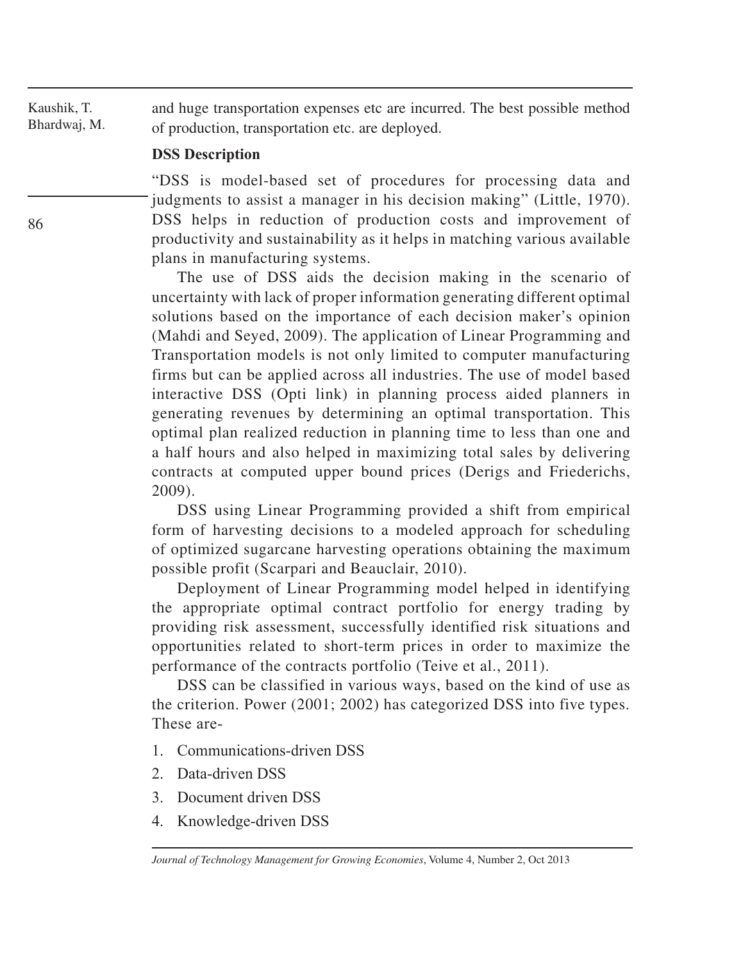Kaushik, T. Bhardwaj, M. and huge transportation expenses etc are incurred. The best possible method of production, transportation etc. are deployed.

#### **DSS Description**

"DSS is model-based set of procedures for processing data and judgments to assist a manager in his decision making" (Little, 1970). DSS helps in reduction of production costs and improvement of productivity and sustainability as it helps in matching various available plans in manufacturing systems.

The use of DSS aids the decision making in the scenario of uncertainty with lack of proper information generating different optimal solutions based on the importance of each decision maker's opinion (Mahdi and Seyed, 2009). The application of Linear Programming and Transportation models is not only limited to computer manufacturing firms but can be applied across all industries. The use of model based interactive DSS (Opti link) in planning process aided planners in generating revenues by determining an optimal transportation. This optimal plan realized reduction in planning time to less than one and a half hours and also helped in maximizing total sales by delivering contracts at computed upper bound prices (Derigs and Friederichs, 2009).

DSS using Linear Programming provided a shift from empirical form of harvesting decisions to a modeled approach for scheduling of optimized sugarcane harvesting operations obtaining the maximum possible profit (Scarpari and Beauclair, 2010).

Deployment of Linear Programming model helped in identifying the appropriate optimal contract portfolio for energy trading by providing risk assessment, successfully identified risk situations and opportunities related to short-term prices in order to maximize the performance of the contracts portfolio (Teive et al., 2011).

DSS can be classified in various ways, based on the kind of use as the criterion. Power (2001; 2002) has categorized DSS into five types. These are-

- 1. Communications-driven DSS
- 2. Data-driven DSS
- 3. Document driven DSS
- 4. Knowledge-driven DSS

*Journal of Technology Management for Growing Economies*, Volume 4, Number 2, Oct 2013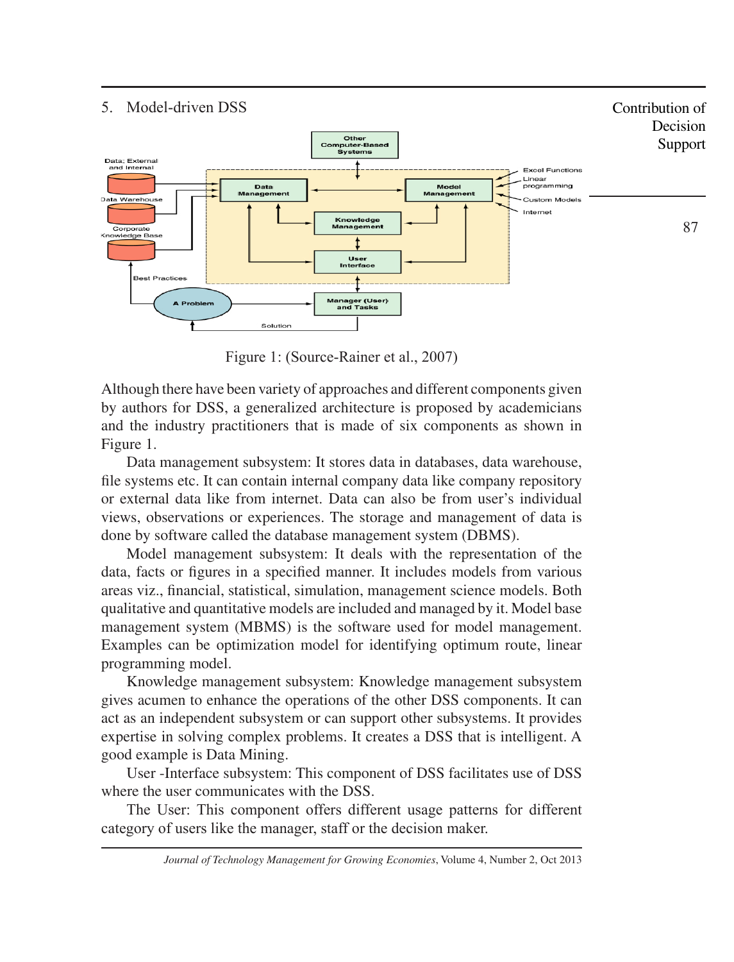#### 5. Model-driven DSS Contribution of Decision **Other<br>Computer-Based<br>Systems** Support Data: External and Internal **Excel Functions** Linear<br>Dinear<br>programming Data<br>aaeme Model<br>Management Ma Data Warehouse **Custom Models** Internet Knowledge<br>Management 87 Corporate Knowledge Base User<br>Interface Rest **Manager (User)**<br>and Tasks A Prob Solution

Figure 1: (Source-Rainer et al., 2007)

Although there have been variety of approaches and different components given by authors for DSS, a generalized architecture is proposed by academicians and the industry practitioners that is made of six components as shown in Figure 1.

Data management subsystem: It stores data in databases, data warehouse, file systems etc. It can contain internal company data like company repository or external data like from internet. Data can also be from user's individual views, observations or experiences. The storage and management of data is done by software called the database management system (DBMS).

Model management subsystem: It deals with the representation of the data, facts or figures in a specified manner. It includes models from various areas viz., financial, statistical, simulation, management science models. Both qualitative and quantitative models are included and managed by it. Model base management system (MBMS) is the software used for model management. Examples can be optimization model for identifying optimum route, linear programming model.

Knowledge management subsystem: Knowledge management subsystem gives acumen to enhance the operations of the other DSS components. It can act as an independent subsystem or can support other subsystems. It provides expertise in solving complex problems. It creates a DSS that is intelligent. A good example is Data Mining.

User -Interface subsystem: This component of DSS facilitates use of DSS where the user communicates with the DSS.

The User: This component offers different usage patterns for different category of users like the manager, staff or the decision maker.

*Journal of Technology Management for Growing Economies*, Volume 4, Number 2, Oct 2013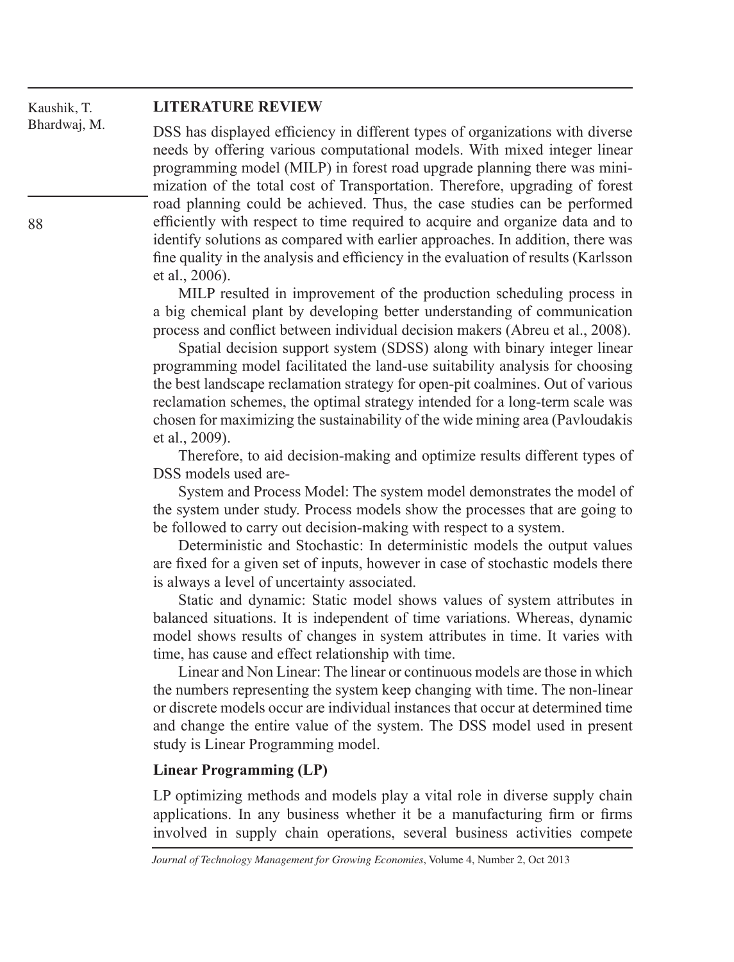#### Kaushik, T. Bhardwaj, M.

#### **LITERATURE REVIEW**

DSS has displayed efficiency in different types of organizations with diverse needs by offering various computational models. With mixed integer linear programming model (MILP) in forest road upgrade planning there was minimization of the total cost of Transportation. Therefore, upgrading of forest road planning could be achieved. Thus, the case studies can be performed efficiently with respect to time required to acquire and organize data and to identify solutions as compared with earlier approaches. In addition, there was fine quality in the analysis and efficiency in the evaluation of results (Karlsson et al., 2006).

MILP resulted in improvement of the production scheduling process in a big chemical plant by developing better understanding of communication process and conflict between individual decision makers (Abreu et al., 2008).

Spatial decision support system (SDSS) along with binary integer linear programming model facilitated the land-use suitability analysis for choosing the best landscape reclamation strategy for open-pit coalmines. Out of various reclamation schemes, the optimal strategy intended for a long-term scale was chosen for maximizing the sustainability of the wide mining area (Pavloudakis et al., 2009).

Therefore, to aid decision-making and optimize results different types of DSS models used are-

System and Process Model: The system model demonstrates the model of the system under study. Process models show the processes that are going to be followed to carry out decision-making with respect to a system.

Deterministic and Stochastic: In deterministic models the output values are fixed for a given set of inputs, however in case of stochastic models there is always a level of uncertainty associated.

Static and dynamic: Static model shows values of system attributes in balanced situations. It is independent of time variations. Whereas, dynamic model shows results of changes in system attributes in time. It varies with time, has cause and effect relationship with time.

Linear and Non Linear: The linear or continuous models are those in which the numbers representing the system keep changing with time. The non-linear or discrete models occur are individual instances that occur at determined time and change the entire value of the system. The DSS model used in present study is Linear Programming model.

#### **Linear Programming (LP)**

LP optimizing methods and models play a vital role in diverse supply chain applications. In any business whether it be a manufacturing firm or firms involved in supply chain operations, several business activities compete

*Journal of Technology Management for Growing Economies*, Volume 4, Number 2, Oct 2013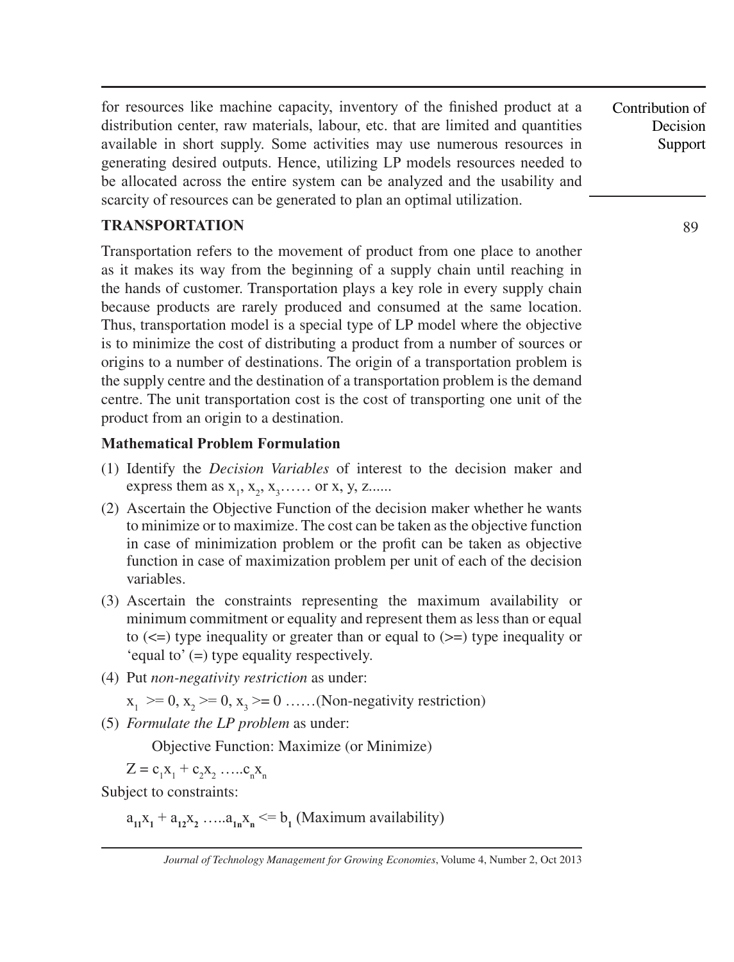for resources like machine capacity, inventory of the finished product at a distribution center, raw materials, labour, etc. that are limited and quantities available in short supply. Some activities may use numerous resources in generating desired outputs. Hence, utilizing LP models resources needed to be allocated across the entire system can be analyzed and the usability and scarcity of resources can be generated to plan an optimal utilization.

# **TRANSPORTATION**

Transportation refers to the movement of product from one place to another as it makes its way from the beginning of a supply chain until reaching in the hands of customer. Transportation plays a key role in every supply chain because products are rarely produced and consumed at the same location. Thus, transportation model is a special type of LP model where the objective is to minimize the cost of distributing a product from a number of sources or origins to a number of destinations. The origin of a transportation problem is the supply centre and the destination of a transportation problem is the demand centre. The unit transportation cost is the cost of transporting one unit of the product from an origin to a destination.

## **Mathematical Problem Formulation**

- (1) Identify the *Decision Variables* of interest to the decision maker and express them as  $x_1, x_2, x_3, \ldots$  or x, y, z......
- (2) Ascertain the Objective Function of the decision maker whether he wants to minimize or to maximize. The cost can be taken as the objective function in case of minimization problem or the profit can be taken as objective function in case of maximization problem per unit of each of the decision variables.
- (3) Ascertain the constraints representing the maximum availability or minimum commitment or equality and represent them as less than or equal to  $(\leq)$  type inequality or greater than or equal to  $(\geq)$  type inequality or 'equal to' (=) type equality respectively.
- (4) Put *non-negativity restriction* as under:

 $x_1 \geq 0$ ,  $x_2 \geq 0$ ,  $x_3 \geq 0$  ......(Non-negativity restriction)

(5) *Formulate the LP problem* as under:

Objective Function: Maximize (or Minimize)

 $Z = c_1 x_1 + c_2 x_2 \dots c_n x_n$ 

Subject to constraints:

 $a_{11}x_1 + a_{12}x_2 + \ldots + a_{1n}x_n \leq b_1$  (Maximum availability)

Contribution of Decision Support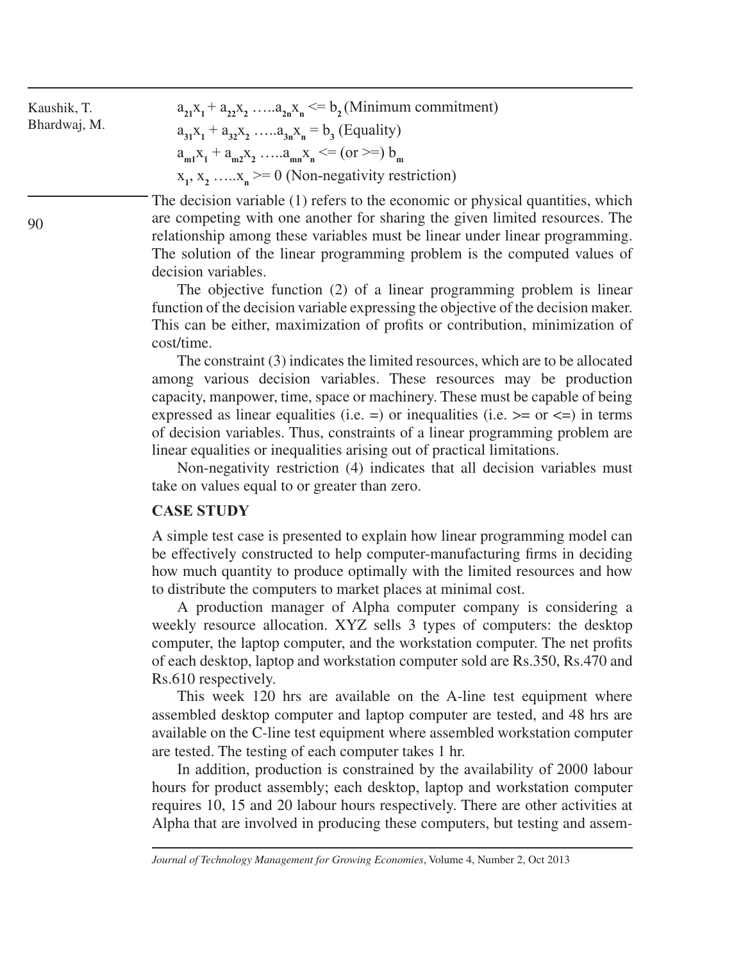| Kaushik, T.<br>Bhardwaj, M. | $a_{21}x_1 + a_{22}x_2$ $a_{2n}x_n \leq b$ , (Minimum commitment)<br>$a_{31}x_1 + a_{32}x_2$ $a_{3n}x_n = b_3$ (Equality)<br>$a_{m1}x_1 + a_{m2}x_2$ $a_{mn}x_n \leq (or \geq b)$<br>$x_1, x_2, \ldots, x_n \ge 0$ (Non-negativity restriction) |
|-----------------------------|-------------------------------------------------------------------------------------------------------------------------------------------------------------------------------------------------------------------------------------------------|
|                             | The decision variable (1) refers to the economic or physical quantities, which<br>are competing with one another for sharing the given limited resources. The                                                                                   |
| 90                          | relationship among these variables must be linear under linear programming.                                                                                                                                                                     |

decision variables. The objective function (2) of a linear programming problem is linear function of the decision variable expressing the objective of the decision maker. This can be either, maximization of profits or contribution, minimization of cost/time.

The solution of the linear programming problem is the computed values of

The constraint (3) indicates the limited resources, which are to be allocated among various decision variables. These resources may be production capacity, manpower, time, space or machinery. These must be capable of being expressed as linear equalities (i.e.  $=$ ) or inequalities (i.e.  $> =$  or  $\le$  =) in terms of decision variables. Thus, constraints of a linear programming problem are linear equalities or inequalities arising out of practical limitations.

Non-negativity restriction (4) indicates that all decision variables must take on values equal to or greater than zero.

#### **CASE STUDY**

A simple test case is presented to explain how linear programming model can be effectively constructed to help computer-manufacturing firms in deciding how much quantity to produce optimally with the limited resources and how to distribute the computers to market places at minimal cost.

A production manager of Alpha computer company is considering a weekly resource allocation. XYZ sells 3 types of computers: the desktop computer, the laptop computer, and the workstation computer. The net profits of each desktop, laptop and workstation computer sold are Rs.350, Rs.470 and Rs.610 respectively.

This week 120 hrs are available on the A-line test equipment where assembled desktop computer and laptop computer are tested, and 48 hrs are available on the C-line test equipment where assembled workstation computer are tested. The testing of each computer takes 1 hr.

In addition, production is constrained by the availability of 2000 labour hours for product assembly; each desktop, laptop and workstation computer requires 10, 15 and 20 labour hours respectively. There are other activities at Alpha that are involved in producing these computers, but testing and assem-

*Journal of Technology Management for Growing Economies*, Volume 4, Number 2, Oct 2013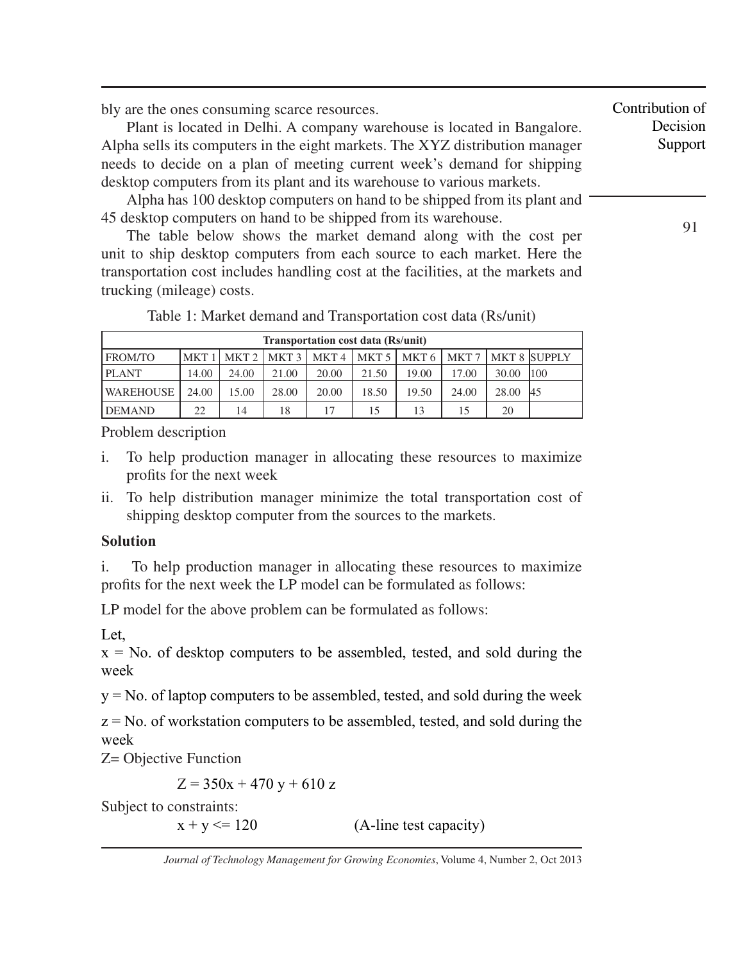bly are the ones consuming scarce resources.

Plant is located in Delhi. A company warehouse is located in Bangalore. Alpha sells its computers in the eight markets. The XYZ distribution manager needs to decide on a plan of meeting current week's demand for shipping desktop computers from its plant and its warehouse to various markets.

Alpha has 100 desktop computers on hand to be shipped from its plant and 45 desktop computers on hand to be shipped from its warehouse.

The table below shows the market demand along with the cost per unit to ship desktop computers from each source to each market. Here the transportation cost includes handling cost at the facilities, at the markets and trucking (mileage) costs.

| <b>Transportation cost data (Rs/unit)</b> |       |       |       |                                                                       |       |       |       |       |               |  |
|-------------------------------------------|-------|-------|-------|-----------------------------------------------------------------------|-------|-------|-------|-------|---------------|--|
| FROM/TO                                   |       |       |       | MKT 1   MKT 2   MKT 3   MKT 4   MKT 5   MKT 6   MKT 7   MKT 8  SUPPLY |       |       |       |       |               |  |
| <b>PLANT</b>                              | 14.00 | 24.00 | 21.00 | 20.00                                                                 | 21.50 | 19.00 | 17.00 | 30.00 | 1100          |  |
| WAREHOUSE                                 | 24.00 | 15.00 | 28.00 | 20.00                                                                 | 18.50 | 19.50 | 24.00 | 28.00 | <sup>45</sup> |  |
| <b>DEMAND</b>                             | 22    | 14    | 18    | 17                                                                    | 15    | 13    | 15    | 20    |               |  |

Table 1: Market demand and Transportation cost data (Rs/unit)

Problem description

- i. To help production manager in allocating these resources to maximize profits for the next week
- ii. To help distribution manager minimize the total transportation cost of shipping desktop computer from the sources to the markets.

# **Solution**

i. To help production manager in allocating these resources to maximize profits for the next week the LP model can be formulated as follows:

LP model for the above problem can be formulated as follows:

Let.

 $x = No$ . of desktop computers to be assembled, tested, and sold during the week

 $y = No$ . of laptop computers to be assembled, tested, and sold during the week

 $z = No$ . of workstation computers to be assembled, tested, and sold during the week

Z= Objective Function

 $Z = 350x + 470y + 610z$ 

Subject to constraints:

 $x + y \le 120$  (A-line test capacity)

Contribution of Decision Support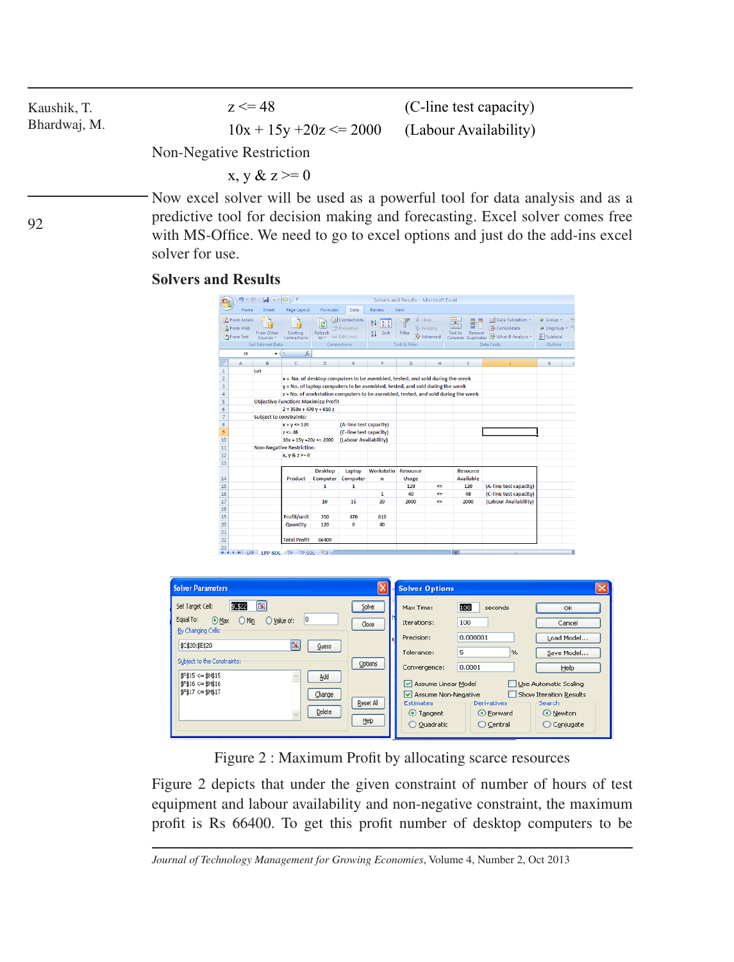| Kaushik, T.<br>Bhardwaj, M. | $z \le 48$<br>$10x + 15y + 20z \le 2000$ | (C-line test capacity)<br>(Labour Availability) |
|-----------------------------|------------------------------------------|-------------------------------------------------|
|                             | Non-Negative Restriction                 |                                                 |
|                             | $x, y \& z \geq 0$                       |                                                 |
|                             |                                          |                                                 |

Now excel solver will be used as a powerful tool for data analysis and as a predictive tool for decision making and forecasting. Excel solver comes free with MS-Office. We need to go to excel options and just do the add-ins excel solver for use.

#### **Solvers and Results**

92

|                | $\blacksquare$ in $\lhd$ $\lhd$ $\lhd$ $\lhd$<br>$19 - 11 -$<br>Solvers and Results - Microsoft Excel |                                              |                                            |                        |                                                            |                                                                               |                                    |                     |                                                                                   |                                                                                                     |                                                     |  |
|----------------|-------------------------------------------------------------------------------------------------------|----------------------------------------------|--------------------------------------------|------------------------|------------------------------------------------------------|-------------------------------------------------------------------------------|------------------------------------|---------------------|-----------------------------------------------------------------------------------|-----------------------------------------------------------------------------------------------------|-----------------------------------------------------|--|
|                | Home                                                                                                  | Insert                                       | Page Layout                                | Formulas               | Data                                                       | Review                                                                        | View                               |                     |                                                                                   |                                                                                                     |                                                     |  |
|                | From Access<br>From Web<br>From Text                                                                  | From Other<br>Sources *<br>Get External Data | Existing<br>Connections                    | e<br>Refresh<br>All Y  | Connections<br>Properties<br>880 Edit Links<br>Connections | 21<br>$rac{1}{2}$ $rac{7}{4}$<br>显<br>Sort                                    | & Clear<br>Filter<br>Sort & Filter | Reapply<br>Advanced | Text to<br>Remove                                                                 | Ed Data Validation<br>Fa Consolidate<br>Columns Duplicates <b>EX</b> What If Analysis<br>Data Tools | → Group *<br><b>Dinaroup</b><br>Subtotal<br>Outline |  |
|                | J9                                                                                                    | ۰                                            | fx                                         |                        |                                                            |                                                                               |                                    |                     |                                                                                   |                                                                                                     |                                                     |  |
|                | A                                                                                                     | B                                            | c                                          | D                      | E                                                          | я                                                                             | G                                  | н                   |                                                                                   |                                                                                                     | К                                                   |  |
| 1              |                                                                                                       | Let                                          |                                            |                        |                                                            |                                                                               |                                    |                     |                                                                                   |                                                                                                     |                                                     |  |
| $\overline{2}$ |                                                                                                       |                                              |                                            |                        |                                                            | x = No. of desktop computers to be asembled, tested, and sold during the week |                                    |                     |                                                                                   |                                                                                                     |                                                     |  |
| 3              |                                                                                                       |                                              |                                            |                        |                                                            | y = No. of laptop computers to be asembled, tested, and sold during the week  |                                    |                     |                                                                                   |                                                                                                     |                                                     |  |
| 4              |                                                                                                       |                                              |                                            |                        |                                                            |                                                                               |                                    |                     | z = No. of workstation computers to be asembled, tested, and sold during the week |                                                                                                     |                                                     |  |
| S              |                                                                                                       |                                              | <b>Objective Function: Maximize Profit</b> |                        |                                                            |                                                                               |                                    |                     |                                                                                   |                                                                                                     |                                                     |  |
| 6              |                                                                                                       |                                              | $Z = 350x + 470y + 610z$                   |                        |                                                            |                                                                               |                                    |                     |                                                                                   |                                                                                                     |                                                     |  |
| $\overline{7}$ |                                                                                                       | <b>Subject to constraints:</b>               |                                            |                        |                                                            |                                                                               |                                    |                     |                                                                                   |                                                                                                     |                                                     |  |
| 8              |                                                                                                       |                                              | $x + y \le 120$                            | (A-line test capacity) |                                                            |                                                                               |                                    |                     |                                                                                   |                                                                                                     |                                                     |  |
| 9              |                                                                                                       |                                              | $z \le 48$                                 |                        | (C-line test capacity)                                     |                                                                               |                                    |                     |                                                                                   |                                                                                                     |                                                     |  |
| 10             |                                                                                                       |                                              | $10x + 15y + 20z \le 2000$                 |                        | (Labour Availability)                                      |                                                                               |                                    |                     |                                                                                   |                                                                                                     |                                                     |  |
| 11             |                                                                                                       |                                              | <b>Non-Negative Restriction:</b>           |                        |                                                            |                                                                               |                                    |                     |                                                                                   |                                                                                                     |                                                     |  |
| 12             |                                                                                                       |                                              | $x, y & z \ge 0$                           |                        |                                                            |                                                                               |                                    |                     |                                                                                   |                                                                                                     |                                                     |  |
| 13             |                                                                                                       |                                              |                                            | <b>Desktop</b>         |                                                            | Workstatio                                                                    |                                    |                     | <b>Resource</b>                                                                   |                                                                                                     |                                                     |  |
| 14             |                                                                                                       |                                              | Product                                    | Computer               | Laptop<br>Computer                                         | n                                                                             | <b>Resource</b><br><b>Usage</b>    |                     | <b>Available</b>                                                                  |                                                                                                     |                                                     |  |
| 15             |                                                                                                       |                                              |                                            | 1                      | 1                                                          |                                                                               | 120                                | $\leftarrow$        | 120                                                                               | (A-line test capacity)                                                                              |                                                     |  |
| 16             |                                                                                                       |                                              |                                            |                        |                                                            | 1                                                                             | 40                                 | $\leq$              | 48                                                                                | (C-line test capacity)                                                                              |                                                     |  |
| 17             |                                                                                                       |                                              |                                            | 10                     | 15                                                         | 20                                                                            | 2000                               | $\leftarrow$        | 2000                                                                              | (Labour Availability)                                                                               |                                                     |  |
| 18             |                                                                                                       |                                              |                                            |                        |                                                            |                                                                               |                                    |                     |                                                                                   |                                                                                                     |                                                     |  |
| 19             |                                                                                                       |                                              | Profit/unit                                | 350                    | 470                                                        | 610                                                                           |                                    |                     |                                                                                   |                                                                                                     |                                                     |  |
| 20             |                                                                                                       |                                              | Quantity                                   | 120                    | $\bf{0}$                                                   | 40                                                                            |                                    |                     |                                                                                   |                                                                                                     |                                                     |  |
| 21             |                                                                                                       |                                              |                                            |                        |                                                            |                                                                               |                                    |                     |                                                                                   |                                                                                                     |                                                     |  |
| 22             |                                                                                                       |                                              | <b>Total Profit</b>                        | 66400                  |                                                            |                                                                               |                                    |                     |                                                                                   |                                                                                                     |                                                     |  |
| 23             |                                                                                                       |                                              |                                            |                        |                                                            |                                                                               |                                    |                     |                                                                                   |                                                                                                     |                                                     |  |
|                |                                                                                                       |                                              | H + + H LPP LPP SOL TP TP SOL 2            |                        |                                                            |                                                                               |                                    |                     |                                                                                   |                                                                                                     |                                                     |  |

| <b>Solver Parameters</b>                                                                                                                                                                                                                                    |                                                | <b>Solver Options</b>                                                                                                                                                                                                                                                                                                                                                                                                             |  |
|-------------------------------------------------------------------------------------------------------------------------------------------------------------------------------------------------------------------------------------------------------------|------------------------------------------------|-----------------------------------------------------------------------------------------------------------------------------------------------------------------------------------------------------------------------------------------------------------------------------------------------------------------------------------------------------------------------------------------------------------------------------------|--|
| 医<br>\$C\$22<br>Set Target Cell:<br>0<br>Equal To: Max O Min<br>Value of:<br>By Changing Cells:<br>医<br>\$C\$20:\$E\$20<br>Guess<br>Subject to the Constraints:<br>\$F\$15 <= \$H\$15<br>Add<br>$$F$16 < = $H$16$<br>\$F\$17 <= \$H\$17<br>Change<br>Delete | Solve<br>Close<br>Options<br>Reset All<br>Help | 100<br>seconds<br>Max Time:<br>OK<br>100<br>Iterations:<br>Cancel<br>0.000001<br>Precision:<br>Load Model<br>5<br>Tolerance:<br>$\%$<br>Save Model<br>0.0001<br>Convergence:<br>Help<br>Assume Linear Model<br>Use Automatic Scaling<br>Show Iteration Results<br>Assume Non-Negative<br><b>Derivatives</b><br>Search<br><b>Estimates</b><br>O Newton<br>⊙ Tangent<br>⊙ Forward<br>Quadratic<br>$\bigcirc$ Central<br>O Conjugate |  |

Figure 2 : Maximum Profit by allocating scarce resources

Figure 2 depicts that under the given constraint of number of hours of test equipment and labour availability and non-negative constraint, the maximum profit is Rs 66400. To get this profit number of desktop computers to be

*Journal of Technology Management for Growing Economies*, Volume 4, Number 2, Oct 2013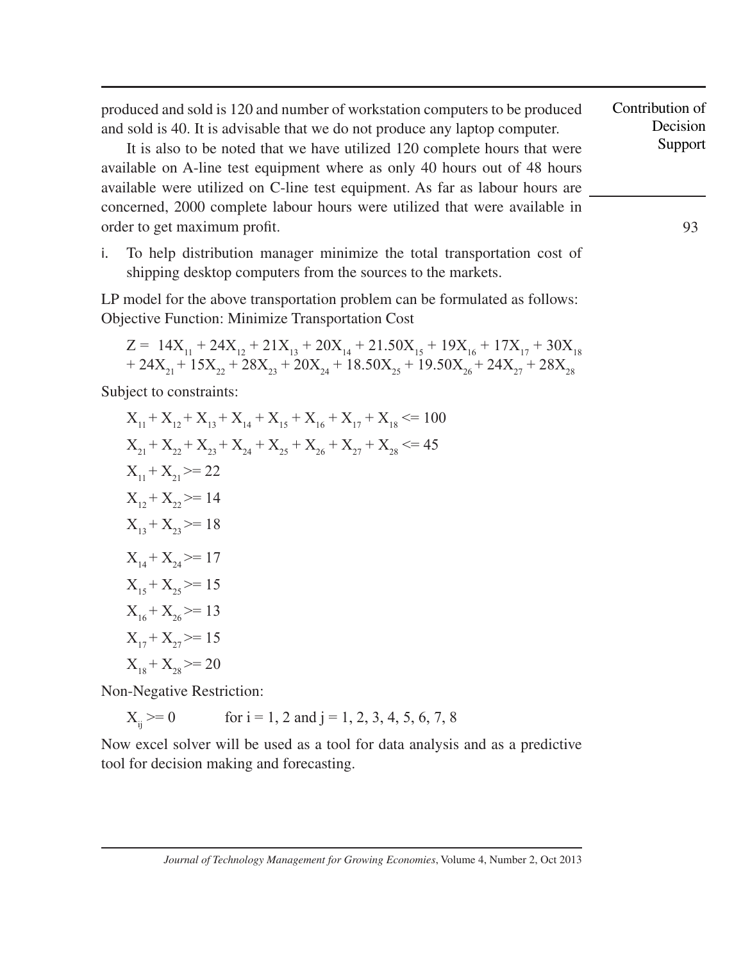produced and sold is 120 and number of workstation computers to be produced and sold is 40. It is advisable that we do not produce any laptop computer.

It is also to be noted that we have utilized 120 complete hours that were available on A-line test equipment where as only 40 hours out of 48 hours available were utilized on C-line test equipment. As far as labour hours are concerned, 2000 complete labour hours were utilized that were available in order to get maximum profit.

i. To help distribution manager minimize the total transportation cost of shipping desktop computers from the sources to the markets.

LP model for the above transportation problem can be formulated as follows: Objective Function: Minimize Transportation Cost

$$
\begin{array}{l} Z = \ 14 X_{_{11}} + 24 X_{_{12}} + 21 X_{_{13}} + 20 X_{_{14}} + 21.50 X_{_{15}} + 19 X_{_{16}} + 17 X_{_{17}} + 30 X_{_{18}} \\ + 24 X_{_{21}} + 15 X_{_{22}} + 28 X_{_{23}} + 20 X_{_{24}} + 18.50 X_{_{25}} + 19.50 X_{_{26}} + 24 X_{_{27}} + 28 X_{_{28}} \end{array}
$$

Subject to constraints:

$$
X_{11} + X_{12} + X_{13} + X_{14} + X_{15} + X_{16} + X_{17} + X_{18} \le 100
$$
  
\n
$$
X_{21} + X_{22} + X_{23} + X_{24} + X_{25} + X_{26} + X_{27} + X_{28} \le 45
$$
  
\n
$$
X_{11} + X_{21} \ge 22
$$
  
\n
$$
X_{12} + X_{22} \ge 14
$$
  
\n
$$
X_{13} + X_{23} \ge 18
$$
  
\n
$$
X_{14} + X_{24} \ge 17
$$
  
\n
$$
X_{15} + X_{25} \ge 15
$$
  
\n
$$
X_{16} + X_{26} \ge 13
$$
  
\n
$$
X_{17} + X_{27} \ge 15
$$
  
\n
$$
X_{18} + X_{28} \ge 20
$$

Non-Negative Restriction:

$$
X_{ij} \ge 0
$$
 for i = 1, 2 and j = 1, 2, 3, 4, 5, 6, 7, 8

Now excel solver will be used as a tool for data analysis and as a predictive tool for decision making and forecasting.

*Journal of Technology Management for Growing Economies*, Volume 4, Number 2, Oct 2013

Contribution of Decision Support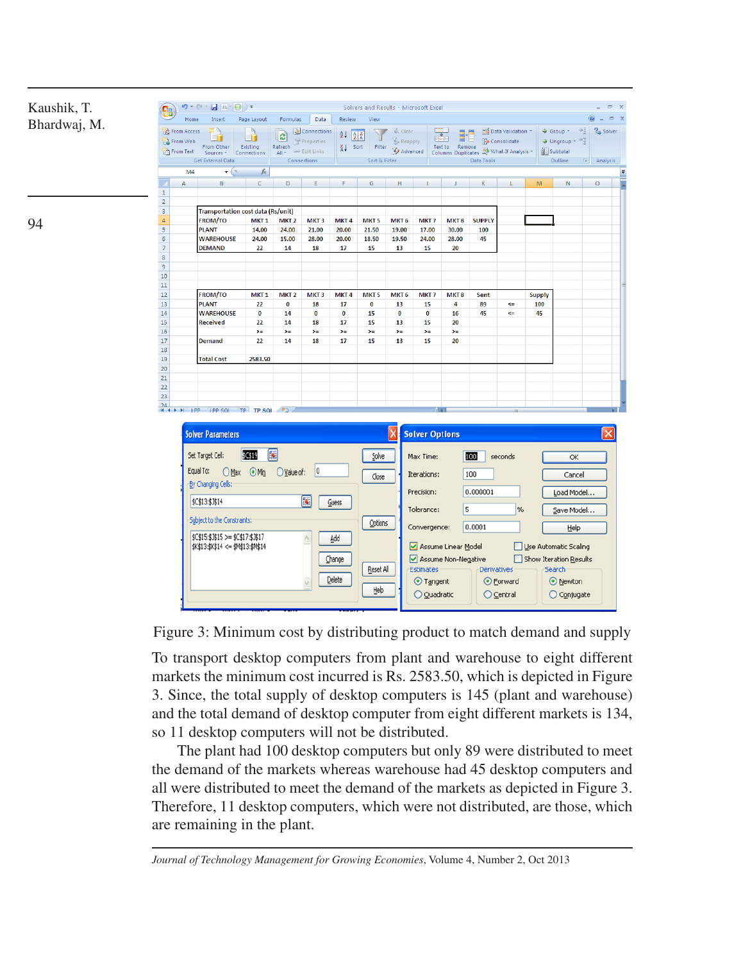

94

| <b>Solver Parameters</b>                                                                                                                                                                                                                                                                           |                                                | <b>Solver Options</b>                                                                                                                                              |                                                                                                                |                                                                                                                                          |
|----------------------------------------------------------------------------------------------------------------------------------------------------------------------------------------------------------------------------------------------------------------------------------------------------|------------------------------------------------|--------------------------------------------------------------------------------------------------------------------------------------------------------------------|----------------------------------------------------------------------------------------------------------------|------------------------------------------------------------------------------------------------------------------------------------------|
| 医<br>\$C\$19<br>Set Target Cell:<br>0<br>Equal To:<br>O Max O Min<br>Value of:<br>By Changing Cells:<br>国<br>\$C\$13:\$3\$14<br>Guess<br>Subject to the Constraints:<br>$\overline{\wedge}$<br>\$C\$15:\$3\$15 >= \$C\$17:\$3\$17<br>Add<br>\$K\$13:\$K\$14 <= \$M\$13:\$M\$14<br>Change<br>Delete | Solve<br>Close<br>Options<br>Reset All<br>Help | Max Time:<br>Iterations:<br>Precision:<br>Tolerance:<br>Convergence:<br>Assume Linear Model<br>Assume Non-Negative<br><b>Estimates</b><br>⊙ Tangent<br>O Quadratic | 100<br>seconds<br>100<br>0.000001<br>5<br>%<br>0.0001<br><b>Derivatives</b><br>⊙ Forward<br>$\bigcirc$ Central | OK<br>Cancel<br>Load Model<br>Save Model<br>Help<br>Use Automatic Scaling<br>Show Iteration Results<br>Search<br>⊙ Newton<br>◯ Conjugate |

Figure 3: Minimum cost by distributing product to match demand and supply

To transport desktop computers from plant and warehouse to eight different markets the minimum cost incurred is Rs. 2583.50, which is depicted in Figure 3. Since, the total supply of desktop computers is 145 (plant and warehouse) and the total demand of desktop computer from eight different markets is 134, so 11 desktop computers will not be distributed.

The plant had 100 desktop computers but only 89 were distributed to meet the demand of the markets whereas warehouse had 45 desktop computers and all were distributed to meet the demand of the markets as depicted in Figure 3. Therefore, 11 desktop computers, which were not distributed, are those, which are remaining in the plant.

*Journal of Technology Management for Growing Economies*, Volume 4, Number 2, Oct 2013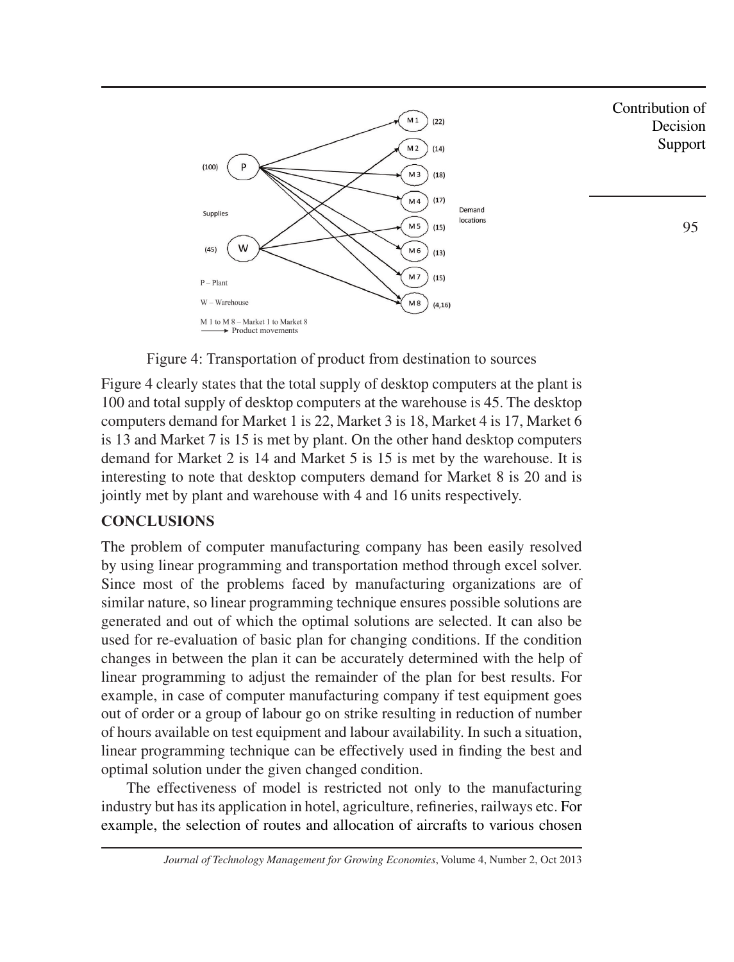

Figure 4: Transportation of product from destination to sources

Figure 4 clearly states that the total supply of desktop computers at the plant is 100 and total supply of desktop computers at the warehouse is 45. The desktop computers demand for Market 1 is 22, Market 3 is 18, Market 4 is 17, Market 6 is 13 and Market 7 is 15 is met by plant. On the other hand desktop computers demand for Market 2 is 14 and Market 5 is 15 is met by the warehouse. It is interesting to note that desktop computers demand for Market 8 is 20 and is jointly met by plant and warehouse with 4 and 16 units respectively.

# **CONCLUSIONS**

The problem of computer manufacturing company has been easily resolved by using linear programming and transportation method through excel solver. Since most of the problems faced by manufacturing organizations are of similar nature, so linear programming technique ensures possible solutions are generated and out of which the optimal solutions are selected. It can also be used for re-evaluation of basic plan for changing conditions. If the condition changes in between the plan it can be accurately determined with the help of linear programming to adjust the remainder of the plan for best results. For example, in case of computer manufacturing company if test equipment goes out of order or a group of labour go on strike resulting in reduction of number of hours available on test equipment and labour availability. In such a situation, linear programming technique can be effectively used in finding the best and optimal solution under the given changed condition.

The effectiveness of model is restricted not only to the manufacturing industry but has its application in hotel, agriculture, refineries, railways etc. For example, the selection of routes and allocation of aircrafts to various chosen